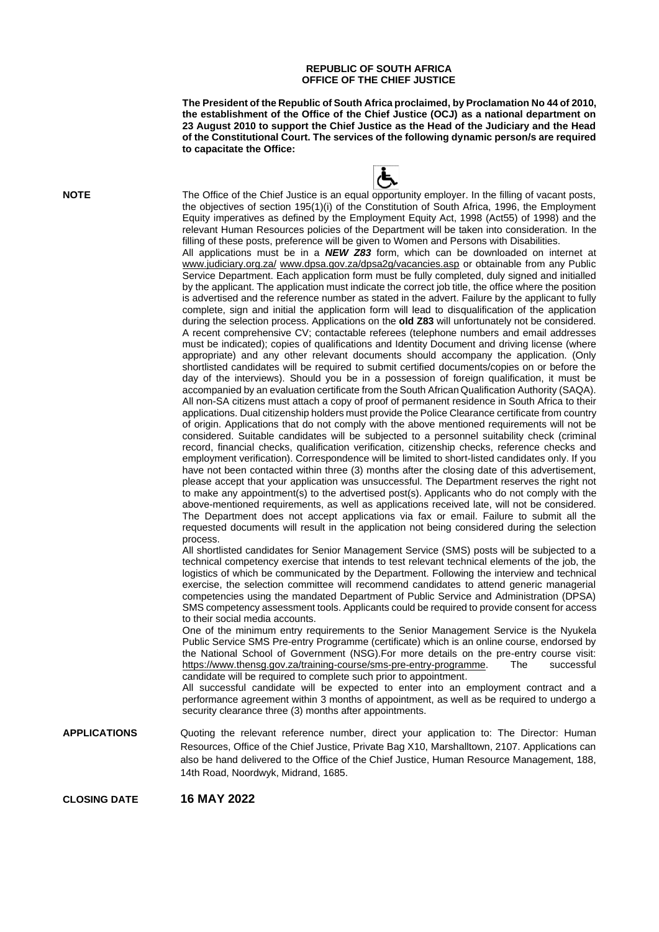## **REPUBLIC OF SOUTH AFRICA OFFICE OF THE CHIEF JUSTICE**

**The President of the Republic of South Africa proclaimed, by Proclamation No 44 of 2010, the establishment of the Office of the Chief Justice (OCJ) as a national department on 23 August 2010 to support the Chief Justice as the Head of the Judiciary and the Head of the Constitutional Court. The services of the following dynamic person/s are required to capacitate the Office:**



**NOTE** The Office of the Chief Justice is an equal opportunity employer. In the filling of vacant posts, the objectives of section 195(1)(i) of the Constitution of South Africa, 1996, the Employment Equity imperatives as defined by the Employment Equity Act, 1998 (Act55) of 1998) and the relevant Human Resources policies of the Department will be taken into consideration. In the filling of these posts, preference will be given to Women and Persons with Disabilities.

All applications must be in a *NEW Z83* form, which can be downloaded on internet at [www.judiciary.org.za/](http://www.judiciary.org.za/) [www.dpsa.gov.za/dpsa2g/vacancies.asp](http://www.dpsa.gov.za/dpsa2g/vacancies.asp) or obtainable from any Public Service Department. Each application form must be fully completed, duly signed and initialled by the applicant. The application must indicate the correct job title, the office where the position is advertised and the reference number as stated in the advert. Failure by the applicant to fully complete, sign and initial the application form will lead to disqualification of the application during the selection process. Applications on the **old Z83** will unfortunately not be considered. A recent comprehensive CV; contactable referees (telephone numbers and email addresses must be indicated); copies of qualifications and Identity Document and driving license (where appropriate) and any other relevant documents should accompany the application. (Only shortlisted candidates will be required to submit certified documents/copies on or before the day of the interviews). Should you be in a possession of foreign qualification, it must be accompanied by an evaluation certificate from the South African Qualification Authority (SAQA). All non-SA citizens must attach a copy of proof of permanent residence in South Africa to their applications. Dual citizenship holders must provide the Police Clearance certificate from country of origin. Applications that do not comply with the above mentioned requirements will not be considered. Suitable candidates will be subjected to a personnel suitability check (criminal record, financial checks, qualification verification, citizenship checks, reference checks and employment verification). Correspondence will be limited to short-listed candidates only. If you have not been contacted within three (3) months after the closing date of this advertisement, please accept that your application was unsuccessful. The Department reserves the right not to make any appointment(s) to the advertised post(s). Applicants who do not comply with the above-mentioned requirements, as well as applications received late, will not be considered. The Department does not accept applications via fax or email. Failure to submit all the requested documents will result in the application not being considered during the selection process.

All shortlisted candidates for Senior Management Service (SMS) posts will be subjected to a technical competency exercise that intends to test relevant technical elements of the job, the logistics of which be communicated by the Department. Following the interview and technical exercise, the selection committee will recommend candidates to attend generic managerial competencies using the mandated Department of Public Service and Administration (DPSA) SMS competency assessment tools. Applicants could be required to provide consent for access to their social media accounts.

One of the minimum entry requirements to the Senior Management Service is the Nyukela Public Service SMS Pre-entry Programme (certificate) which is an online course, endorsed by the National School of Government (NSG).For more details on the pre-entry course visit: [https://www.thensg.gov.za/training-course/sms-pre-entry-programme.](https://www.thensg.gov.za/training-course/sms-pre-entry-programme) The successful candidate will be required to complete such prior to appointment.

All successful candidate will be expected to enter into an employment contract and a performance agreement within 3 months of appointment, as well as be required to undergo a security clearance three (3) months after appointments.

**APPLICATIONS** Quoting the relevant reference number, direct your application to: The Director: Human Resources, Office of the Chief Justice, Private Bag X10, Marshalltown, 2107. Applications can also be hand delivered to the Office of the Chief Justice, Human Resource Management, 188, 14th Road, Noordwyk, Midrand, 1685.

**CLOSING DATE 16 MAY 2022**